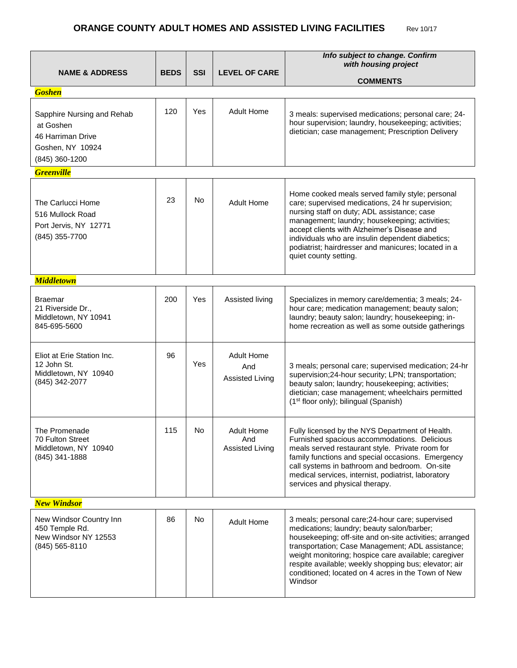## **ORANGE COUNTY ADULT HOMES AND ASSISTED LIVING FACILITIES** Rev 10/17

|                                                                                                    |             |            |                                                    | Info subject to change. Confirm                                                                                                                                                                                                                                                                                                                                                                 |  |  |
|----------------------------------------------------------------------------------------------------|-------------|------------|----------------------------------------------------|-------------------------------------------------------------------------------------------------------------------------------------------------------------------------------------------------------------------------------------------------------------------------------------------------------------------------------------------------------------------------------------------------|--|--|
| <b>NAME &amp; ADDRESS</b>                                                                          | <b>BEDS</b> | <b>SSI</b> | <b>LEVEL OF CARE</b>                               | with housing project                                                                                                                                                                                                                                                                                                                                                                            |  |  |
|                                                                                                    |             |            |                                                    | <b>COMMENTS</b>                                                                                                                                                                                                                                                                                                                                                                                 |  |  |
| <b>Goshen</b>                                                                                      |             |            |                                                    |                                                                                                                                                                                                                                                                                                                                                                                                 |  |  |
| Sapphire Nursing and Rehab<br>at Goshen<br>46 Harriman Drive<br>Goshen, NY 10924<br>(845) 360-1200 | 120         | Yes        | Adult Home                                         | 3 meals: supervised medications; personal care; 24-<br>hour supervision; laundry, housekeeping; activities;<br>dietician; case management; Prescription Delivery                                                                                                                                                                                                                                |  |  |
| <b>Greenville</b>                                                                                  |             |            |                                                    |                                                                                                                                                                                                                                                                                                                                                                                                 |  |  |
| The Carlucci Home<br>516 Mullock Road<br>Port Jervis, NY 12771<br>(845) 355-7700                   | 23          | <b>No</b>  | <b>Adult Home</b>                                  | Home cooked meals served family style; personal<br>care; supervised medications, 24 hr supervision;<br>nursing staff on duty; ADL assistance; case<br>management; laundry; housekeeping; activities;<br>accept clients with Alzheimer's Disease and<br>individuals who are insulin dependent diabetics;<br>podiatrist; hairdresser and manicures; located in a<br>quiet county setting.         |  |  |
| <b>Middletown</b>                                                                                  |             |            |                                                    |                                                                                                                                                                                                                                                                                                                                                                                                 |  |  |
| Braemar<br>21 Riverside Dr.,<br>Middletown, NY 10941<br>845-695-5600                               | 200         | Yes        | Assisted living                                    | Specializes in memory care/dementia; 3 meals; 24-<br>hour care; medication management; beauty salon;<br>laundry; beauty salon; laundry; housekeeping; in-<br>home recreation as well as some outside gatherings                                                                                                                                                                                 |  |  |
| Eliot at Erie Station Inc.<br>12 John St.<br>Middletown, NY 10940<br>(845) 342-2077                | 96          | Yes        | <b>Adult Home</b><br>And<br><b>Assisted Living</b> | 3 meals; personal care; supervised medication; 24-hr<br>supervision;24-hour security; LPN; transportation;<br>beauty salon; laundry; housekeeping; activities;<br>dietician; case management; wheelchairs permitted<br>(1 <sup>st</sup> floor only); bilingual (Spanish)                                                                                                                        |  |  |
| The Promenade<br>70 Fulton Street<br>Middletown, NY 10940<br>(845) 341-1888                        | 115         | No         | <b>Adult Home</b><br>And<br><b>Assisted Living</b> | Fully licensed by the NYS Department of Health.<br>Furnished spacious accommodations. Delicious<br>meals served restaurant style. Private room for<br>family functions and special occasions. Emergency<br>call systems in bathroom and bedroom. On-site<br>medical services, internist, podiatrist, laboratory<br>services and physical therapy.                                               |  |  |
| <b>New Windsor</b>                                                                                 |             |            |                                                    |                                                                                                                                                                                                                                                                                                                                                                                                 |  |  |
| New Windsor Country Inn<br>450 Temple Rd.<br>New Windsor NY 12553<br>(845) 565-8110                | 86          | No         | Adult Home                                         | 3 meals; personal care; 24-hour care; supervised<br>medications; laundry; beauty salon/barber;<br>housekeeping; off-site and on-site activities; arranged<br>transportation; Case Management; ADL assistance;<br>weight monitoring; hospice care available; caregiver<br>respite available; weekly shopping bus; elevator; air<br>conditioned; located on 4 acres in the Town of New<br>Windsor |  |  |